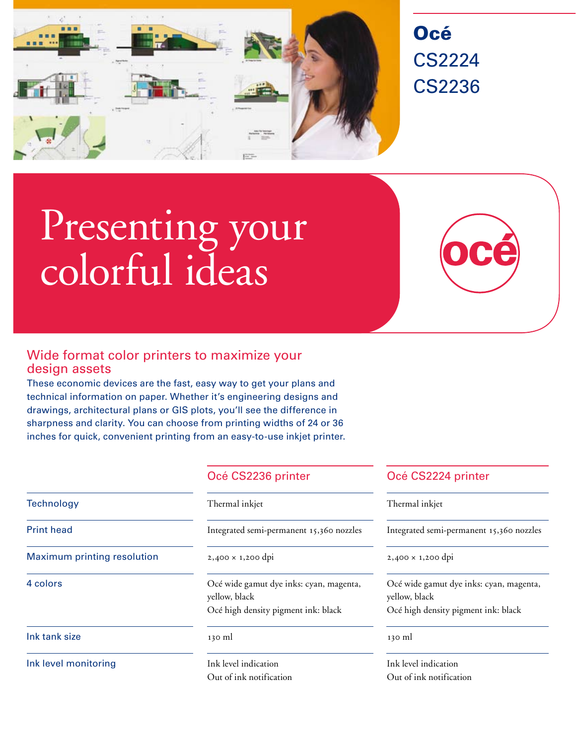

# Océ CS2224 CS2236

# Presenting your colorful ideas

# Wide format color printers to maximize your design assets

These economic devices are the fast, easy way to get your plans and technical information on paper. Whether it's engineering designs and drawings, architectural plans or GIS plots, you'll see the difference in sharpness and clarity. You can choose from printing widths of 24 or 36 inches for quick, convenient printing from an easy-to-use inkjet printer.

| <b>Technology</b>                  | Thermal inkjet                                                                                                                                                                                                                                                                                                                                | Therm             |
|------------------------------------|-----------------------------------------------------------------------------------------------------------------------------------------------------------------------------------------------------------------------------------------------------------------------------------------------------------------------------------------------|-------------------|
| <b>Print head</b>                  | Integrated semi-permanent 15,360 nozzles                                                                                                                                                                                                                                                                                                      | Integra           |
| <b>Maximum printing resolution</b> | $2,400 \times 1,200$ dpi                                                                                                                                                                                                                                                                                                                      | 2,400             |
| 4 colors                           | Océ wide gamut dye inks: cyan, magenta,<br>yellow, black                                                                                                                                                                                                                                                                                      | Océ wi<br>yellow, |
|                                    | Océ high density pigment ink: black                                                                                                                                                                                                                                                                                                           | Océ hi            |
| Ink tank size                      | 130 ml                                                                                                                                                                                                                                                                                                                                        | 130 ml            |
| Ink level monitoring               | Ink level indication                                                                                                                                                                                                                                                                                                                          | Ink lev           |
|                                    | $\bigcap$ . $\bigcap$ . $\bigcap$ . $\bigcap$ . $\bigcap$ . $\bigcap$ . $\bigcap$ . $\bigcap$ . $\bigcap$ . $\bigcap$ . $\bigcap$ . $\bigcap$ . $\bigcap$ . $\bigcap$ . $\bigcap$ . $\bigcap$ . $\bigcap$ . $\bigcap$ . $\bigcap$ . $\bigcap$ . $\bigcap$ . $\bigcap$ . $\bigcap$ . $\bigcap$ . $\bigcap$ . $\bigcap$ . $\bigcap$ . $\bigcap$ | $\cap$ $\cap$     |

## Océ CS2236 printer Cocé CS2224 printer

### Thermal inkjet

zzles Integrated semi-permanent 15,360 nozzles

 $2,400 \times 1,200$  dpi

enta, Océ wide gamut dye inks: cyan, magenta, yellow, black Océ high density pigment ink: black

Ink level indication Out of ink notification Out of ink notification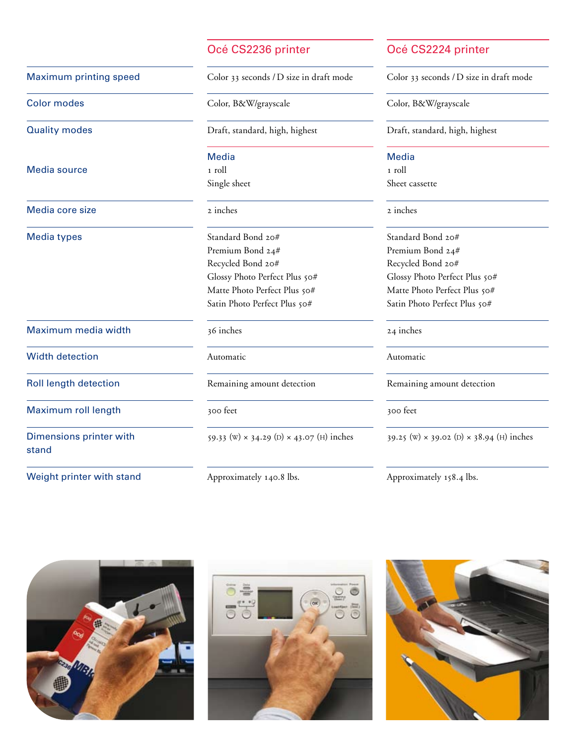### Océ CS2236 printer Cocé CS2224 printer

Media source 1 roll 1 roll 1 roll 1 roll 1 roll 1 roll 1 roll 1 roll 1 roll 1 roll

Media core size 2 inches 2 inches

Maximum media width 36 inches 24 inches

Width detection **Automatic** Automatic **Automatic** Automatic **Automatic** 

Maximum roll length 300 feet 300 feet 300 feet 300 feet

stand

Weight printer with stand Approximately 140.8 lbs. Approximately 158.4 lbs.

Maximum printing speed Color 33 seconds / D size in draft mode Color 33 seconds / D size in draft mode

# Media **Media** Media

Media types Standard Bond 20# Standard Bond 20# Premium Bond 24# Premium Bond 24# Recycled Bond 20# Recycled Bond 20# Glossy Photo Perfect Plus 50# Glossy Photo Perfect Plus 50# Matte Photo Perfect Plus 50# Matte Photo Perfect Plus 50# Satin Photo Perfect Plus 50# Satin Photo Perfect Plus 50#

Roll length detection **Remaining amount detection** Remaining amount detection

Dimensions printer with  $59.33 \text{ (W)} \times 34.29 \text{ (D)} \times 43.07 \text{ (H)}$  inches  $39.25 \text{ (W)} \times 39.02 \text{ (D)} \times 38.94 \text{ (H)}$  inches

Color modes Color, B&W/grayscale Color, B&W/grayscale

Quality modes Draft, standard, high, highest Draft, standard, high, highest

Single sheet Sheet Cassette





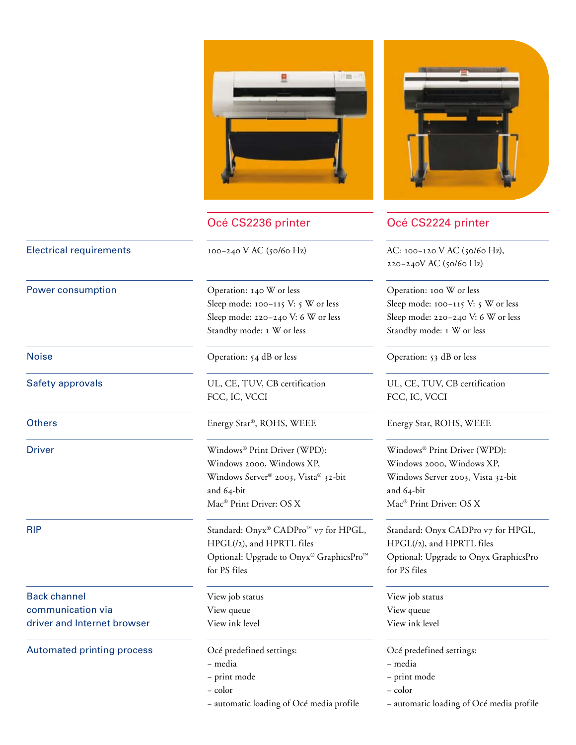

Power consumption  $O$ peration: 140 W or less  $O$ peration: 100 W or less Sleep mode: 100-115 V: 5 W or less Sleep mode: 100-115 V: 5 W or less Standby mode: 1 W or less Standby mode: 1 W or less

Noise Channels Operation: 54 dB or less Operation: 53 dB or less

Safety approvals UL, CE, TUV, CB certification UL, CE, TUV, CB certification FCC, IC, VCCI FCC, IC, VCCI

Others Energy Star®, ROHS, WEEE Energy Star, ROHS, WEEE

Driver Windows® Print Driver (WPD): Windows® Print Driver (WPD): Windows 2000, Windows XP, Windows 2000, Windows XP, Windows Server® 2003, Vista® 32-bit Windows Server 2003, Vista 32-bit and 64-bit and 64-bit Mac<sup>®</sup> Print Driver: OS X Mac<sup>®</sup> Print Driver: OS X

RIP Standard: Onyx® CADPro<sup>™</sup> v7 for HPGL, Standard: Onyx CADPro v7 for HPGL,  $HPGL(l2)$ , and  $HPRTL$  files  $HPGL(l2)$ , and  $HPRTL$  files Optional: Upgrade to Onyx® GraphicsPro™ Optional: Upgrade to Onyx GraphicsPro for PS files for PS files

- media media
- print mode print mode
- color color
- 



# Océ CS2236 printer **Océ CS2224 printer**

Electrical requirements 100–240 V AC (50/60 Hz) AC: 100–120 V AC (50/60 Hz), 220–240V AC (50/60 Hz)

Sleep mode: 220–240 V: 6 W or less Sleep mode: 220–240 V: 6 W or less

- 
- 
- 

– automatic loading of Océ media profile – automatic loading of Océ media profile

Back channel **Back channel** View job status View job status View job status communication via View queue View queue driver and Internet browser View ink level View ink level

Automated printing process Océ predefined settings: Océ predefined settings: